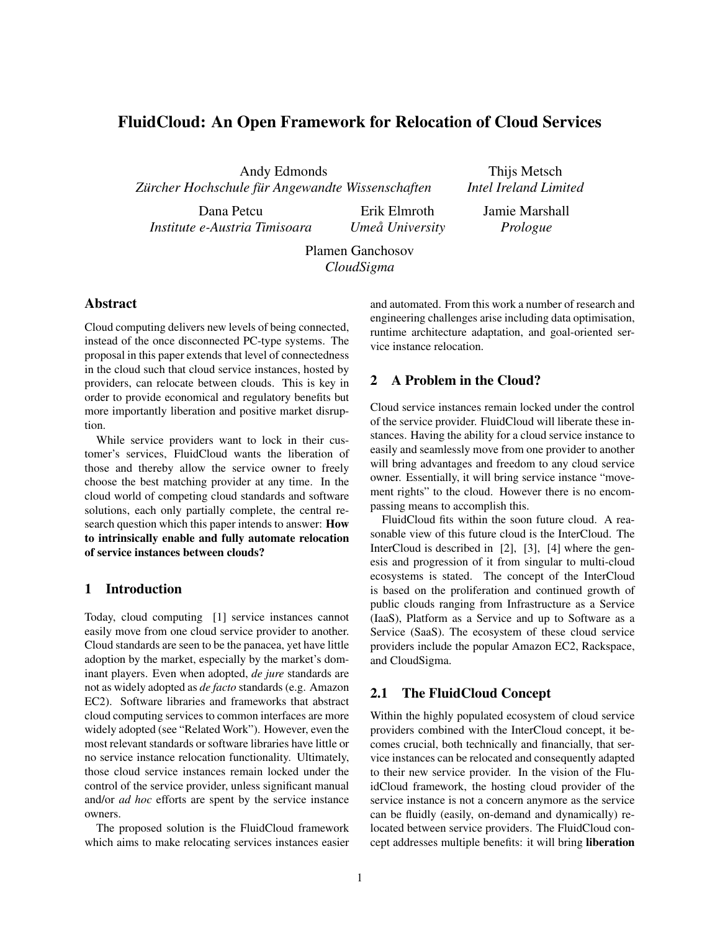# FluidCloud: An Open Framework for Relocation of Cloud Services

Andy Edmonds  $Z\ddot{a}$  *rcher Hochschule für Angewandte Wissenschaften* 

Dana Petcu *Institute e-Austria Timisoara*

Thijs Metsch *Intel Ireland Limited*

Erik Elmroth *Umea University ˚* Jamie Marshall *Prologue*

Plamen Ganchosov *CloudSigma*

# Abstract

Cloud computing delivers new levels of being connected, instead of the once disconnected PC-type systems. The proposal in this paper extends that level of connectedness in the cloud such that cloud service instances, hosted by providers, can relocate between clouds. This is key in order to provide economical and regulatory benefits but more importantly liberation and positive market disruption.

While service providers want to lock in their customer's services, FluidCloud wants the liberation of those and thereby allow the service owner to freely choose the best matching provider at any time. In the cloud world of competing cloud standards and software solutions, each only partially complete, the central research question which this paper intends to answer: How to intrinsically enable and fully automate relocation of service instances between clouds?

# 1 Introduction

Today, cloud computing [1] service instances cannot easily move from one cloud service provider to another. Cloud standards are seen to be the panacea, yet have little adoption by the market, especially by the market's dominant players. Even when adopted, *de jure* standards are not as widely adopted as *de facto* standards (e.g. Amazon EC2). Software libraries and frameworks that abstract cloud computing services to common interfaces are more widely adopted (see "Related Work"). However, even the most relevant standards or software libraries have little or no service instance relocation functionality. Ultimately, those cloud service instances remain locked under the control of the service provider, unless significant manual and/or *ad hoc* efforts are spent by the service instance owners.

The proposed solution is the FluidCloud framework which aims to make relocating services instances easier and automated. From this work a number of research and engineering challenges arise including data optimisation, runtime architecture adaptation, and goal-oriented service instance relocation.

## 2 A Problem in the Cloud?

Cloud service instances remain locked under the control of the service provider. FluidCloud will liberate these instances. Having the ability for a cloud service instance to easily and seamlessly move from one provider to another will bring advantages and freedom to any cloud service owner. Essentially, it will bring service instance "movement rights" to the cloud. However there is no encompassing means to accomplish this.

FluidCloud fits within the soon future cloud. A reasonable view of this future cloud is the InterCloud. The InterCloud is described in [2], [3], [4] where the genesis and progression of it from singular to multi-cloud ecosystems is stated. The concept of the InterCloud is based on the proliferation and continued growth of public clouds ranging from Infrastructure as a Service (IaaS), Platform as a Service and up to Software as a Service (SaaS). The ecosystem of these cloud service providers include the popular Amazon EC2, Rackspace, and CloudSigma.

#### 2.1 The FluidCloud Concept

Within the highly populated ecosystem of cloud service providers combined with the InterCloud concept, it becomes crucial, both technically and financially, that service instances can be relocated and consequently adapted to their new service provider. In the vision of the FluidCloud framework, the hosting cloud provider of the service instance is not a concern anymore as the service can be fluidly (easily, on-demand and dynamically) relocated between service providers. The FluidCloud concept addresses multiple benefits: it will bring liberation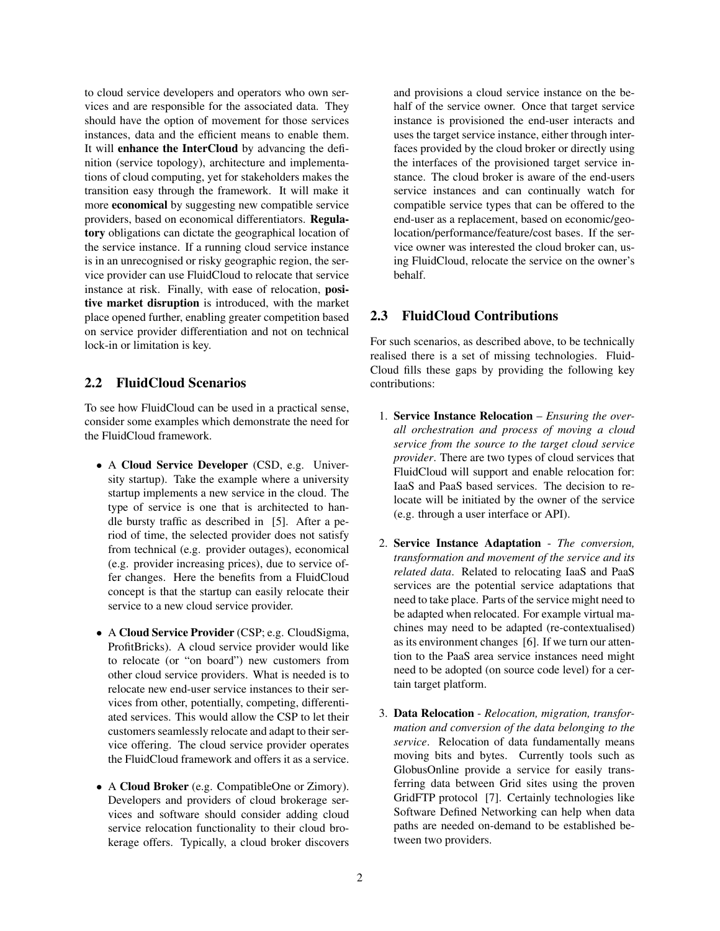to cloud service developers and operators who own services and are responsible for the associated data. They should have the option of movement for those services instances, data and the efficient means to enable them. It will enhance the InterCloud by advancing the definition (service topology), architecture and implementations of cloud computing, yet for stakeholders makes the transition easy through the framework. It will make it more economical by suggesting new compatible service providers, based on economical differentiators. Regulatory obligations can dictate the geographical location of the service instance. If a running cloud service instance is in an unrecognised or risky geographic region, the service provider can use FluidCloud to relocate that service instance at risk. Finally, with ease of relocation, positive market disruption is introduced, with the market place opened further, enabling greater competition based on service provider differentiation and not on technical lock-in or limitation is key.

# 2.2 FluidCloud Scenarios

To see how FluidCloud can be used in a practical sense, consider some examples which demonstrate the need for the FluidCloud framework.

- A Cloud Service Developer (CSD, e.g. University startup). Take the example where a university startup implements a new service in the cloud. The type of service is one that is architected to handle bursty traffic as described in [5]. After a period of time, the selected provider does not satisfy from technical (e.g. provider outages), economical (e.g. provider increasing prices), due to service offer changes. Here the benefits from a FluidCloud concept is that the startup can easily relocate their service to a new cloud service provider.
- A Cloud Service Provider (CSP; e.g. CloudSigma, ProfitBricks). A cloud service provider would like to relocate (or "on board") new customers from other cloud service providers. What is needed is to relocate new end-user service instances to their services from other, potentially, competing, differentiated services. This would allow the CSP to let their customers seamlessly relocate and adapt to their service offering. The cloud service provider operates the FluidCloud framework and offers it as a service.
- A Cloud Broker (e.g. CompatibleOne or Zimory). Developers and providers of cloud brokerage services and software should consider adding cloud service relocation functionality to their cloud brokerage offers. Typically, a cloud broker discovers

and provisions a cloud service instance on the behalf of the service owner. Once that target service instance is provisioned the end-user interacts and uses the target service instance, either through interfaces provided by the cloud broker or directly using the interfaces of the provisioned target service instance. The cloud broker is aware of the end-users service instances and can continually watch for compatible service types that can be offered to the end-user as a replacement, based on economic/geolocation/performance/feature/cost bases. If the service owner was interested the cloud broker can, using FluidCloud, relocate the service on the owner's behalf.

# 2.3 FluidCloud Contributions

For such scenarios, as described above, to be technically realised there is a set of missing technologies. Fluid-Cloud fills these gaps by providing the following key contributions:

- 1. Service Instance Relocation *Ensuring the overall orchestration and process of moving a cloud service from the source to the target cloud service provider*. There are two types of cloud services that FluidCloud will support and enable relocation for: IaaS and PaaS based services. The decision to relocate will be initiated by the owner of the service (e.g. through a user interface or API).
- 2. Service Instance Adaptation *The conversion, transformation and movement of the service and its related data*. Related to relocating IaaS and PaaS services are the potential service adaptations that need to take place. Parts of the service might need to be adapted when relocated. For example virtual machines may need to be adapted (re-contextualised) as its environment changes [6]. If we turn our attention to the PaaS area service instances need might need to be adopted (on source code level) for a certain target platform.
- 3. Data Relocation *Relocation, migration, transformation and conversion of the data belonging to the service*. Relocation of data fundamentally means moving bits and bytes. Currently tools such as GlobusOnline provide a service for easily transferring data between Grid sites using the proven GridFTP protocol [7]. Certainly technologies like Software Defined Networking can help when data paths are needed on-demand to be established between two providers.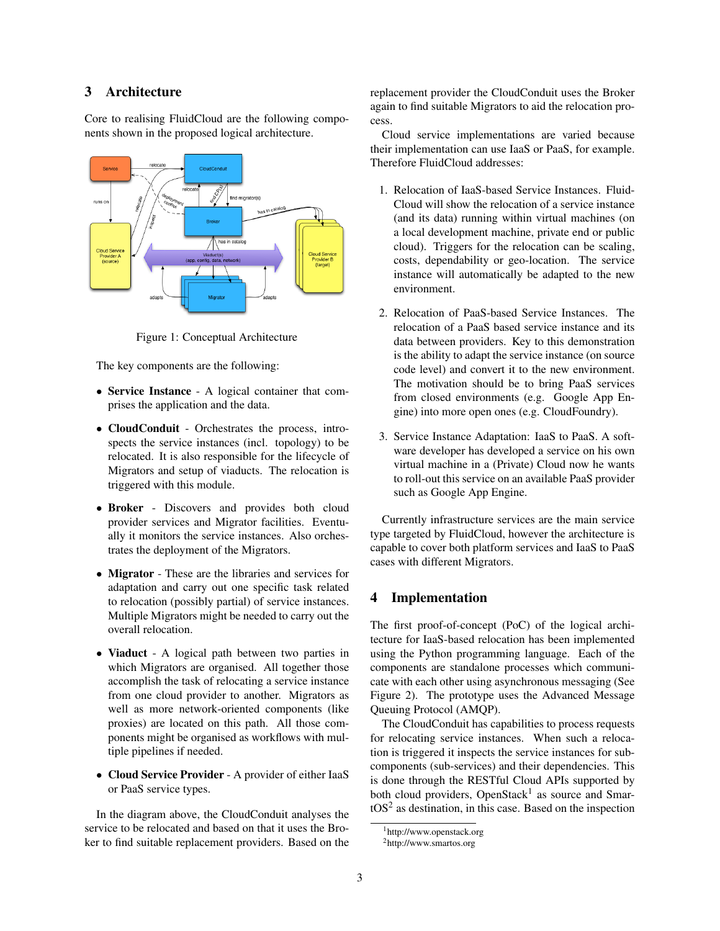## 3 Architecture

Core to realising FluidCloud are the following components shown in the proposed logical architecture.



Figure 1: Conceptual Architecture

The key components are the following:

- Service Instance A logical container that comprises the application and the data.
- CloudConduit Orchestrates the process, introspects the service instances (incl. topology) to be relocated. It is also responsible for the lifecycle of Migrators and setup of viaducts. The relocation is triggered with this module.
- Broker Discovers and provides both cloud provider services and Migrator facilities. Eventually it monitors the service instances. Also orchestrates the deployment of the Migrators.
- Migrator These are the libraries and services for adaptation and carry out one specific task related to relocation (possibly partial) of service instances. Multiple Migrators might be needed to carry out the overall relocation.
- Viaduct A logical path between two parties in which Migrators are organised. All together those accomplish the task of relocating a service instance from one cloud provider to another. Migrators as well as more network-oriented components (like proxies) are located on this path. All those components might be organised as workflows with multiple pipelines if needed.
- Cloud Service Provider A provider of either IaaS or PaaS service types.

In the diagram above, the CloudConduit analyses the service to be relocated and based on that it uses the Broker to find suitable replacement providers. Based on the replacement provider the CloudConduit uses the Broker again to find suitable Migrators to aid the relocation process.

Cloud service implementations are varied because their implementation can use IaaS or PaaS, for example. Therefore FluidCloud addresses:

- 1. Relocation of IaaS-based Service Instances. Fluid-Cloud will show the relocation of a service instance (and its data) running within virtual machines (on a local development machine, private end or public cloud). Triggers for the relocation can be scaling, costs, dependability or geo-location. The service instance will automatically be adapted to the new environment.
- 2. Relocation of PaaS-based Service Instances. The relocation of a PaaS based service instance and its data between providers. Key to this demonstration is the ability to adapt the service instance (on source code level) and convert it to the new environment. The motivation should be to bring PaaS services from closed environments (e.g. Google App Engine) into more open ones (e.g. CloudFoundry).
- 3. Service Instance Adaptation: IaaS to PaaS. A software developer has developed a service on his own virtual machine in a (Private) Cloud now he wants to roll-out this service on an available PaaS provider such as Google App Engine.

Currently infrastructure services are the main service type targeted by FluidCloud, however the architecture is capable to cover both platform services and IaaS to PaaS cases with different Migrators.

#### 4 Implementation

The first proof-of-concept (PoC) of the logical architecture for IaaS-based relocation has been implemented using the Python programming language. Each of the components are standalone processes which communicate with each other using asynchronous messaging (See Figure 2). The prototype uses the Advanced Message Queuing Protocol (AMQP).

The CloudConduit has capabilities to process requests for relocating service instances. When such a relocation is triggered it inspects the service instances for subcomponents (sub-services) and their dependencies. This is done through the RESTful Cloud APIs supported by both cloud providers, OpenStack<sup>1</sup> as source and Smar $tOS<sup>2</sup>$  as destination, in this case. Based on the inspection

<sup>1</sup>http://www.openstack.org

<sup>2</sup>http://www.smartos.org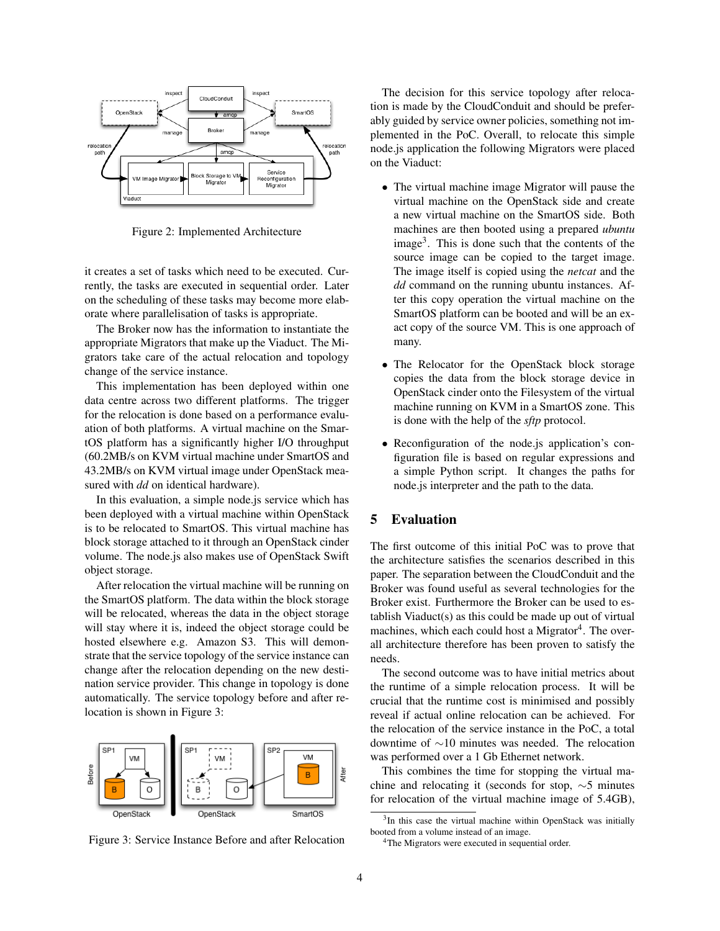

Figure 2: Implemented Architecture

it creates a set of tasks which need to be executed. Currently, the tasks are executed in sequential order. Later on the scheduling of these tasks may become more elaborate where parallelisation of tasks is appropriate.

The Broker now has the information to instantiate the appropriate Migrators that make up the Viaduct. The Migrators take care of the actual relocation and topology change of the service instance.

This implementation has been deployed within one data centre across two different platforms. The trigger for the relocation is done based on a performance evaluation of both platforms. A virtual machine on the SmartOS platform has a significantly higher I/O throughput (60.2MB/s on KVM virtual machine under SmartOS and 43.2MB/s on KVM virtual image under OpenStack measured with *dd* on identical hardware).

In this evaluation, a simple node.js service which has been deployed with a virtual machine within OpenStack is to be relocated to SmartOS. This virtual machine has block storage attached to it through an OpenStack cinder volume. The node.js also makes use of OpenStack Swift object storage.

After relocation the virtual machine will be running on the SmartOS platform. The data within the block storage will be relocated, whereas the data in the object storage will stay where it is, indeed the object storage could be hosted elsewhere e.g. Amazon S3. This will demonstrate that the service topology of the service instance can change after the relocation depending on the new destination service provider. This change in topology is done automatically. The service topology before and after relocation is shown in Figure 3:



Figure 3: Service Instance Before and after Relocation

The decision for this service topology after relocation is made by the CloudConduit and should be preferably guided by service owner policies, something not implemented in the PoC. Overall, to relocate this simple node.js application the following Migrators were placed on the Viaduct:

- The virtual machine image Migrator will pause the virtual machine on the OpenStack side and create a new virtual machine on the SmartOS side. Both machines are then booted using a prepared *ubuntu* image<sup>3</sup>. This is done such that the contents of the source image can be copied to the target image. The image itself is copied using the *netcat* and the *dd* command on the running ubuntu instances. After this copy operation the virtual machine on the SmartOS platform can be booted and will be an exact copy of the source VM. This is one approach of many.
- The Relocator for the OpenStack block storage copies the data from the block storage device in OpenStack cinder onto the Filesystem of the virtual machine running on KVM in a SmartOS zone. This is done with the help of the *sftp* protocol.
- Reconfiguration of the node is application's configuration file is based on regular expressions and a simple Python script. It changes the paths for node.js interpreter and the path to the data.

#### 5 Evaluation

The first outcome of this initial PoC was to prove that the architecture satisfies the scenarios described in this paper. The separation between the CloudConduit and the Broker was found useful as several technologies for the Broker exist. Furthermore the Broker can be used to establish Viaduct(s) as this could be made up out of virtual machines, which each could host a Migrator<sup>4</sup>. The overall architecture therefore has been proven to satisfy the needs.

The second outcome was to have initial metrics about the runtime of a simple relocation process. It will be crucial that the runtime cost is minimised and possibly reveal if actual online relocation can be achieved. For the relocation of the service instance in the PoC, a total downtime of ∼10 minutes was needed. The relocation was performed over a 1 Gb Ethernet network.

This combines the time for stopping the virtual machine and relocating it (seconds for stop, ∼5 minutes for relocation of the virtual machine image of 5.4GB),

<sup>&</sup>lt;sup>3</sup>In this case the virtual machine within OpenStack was initially booted from a volume instead of an image.

<sup>&</sup>lt;sup>4</sup>The Migrators were executed in sequential order.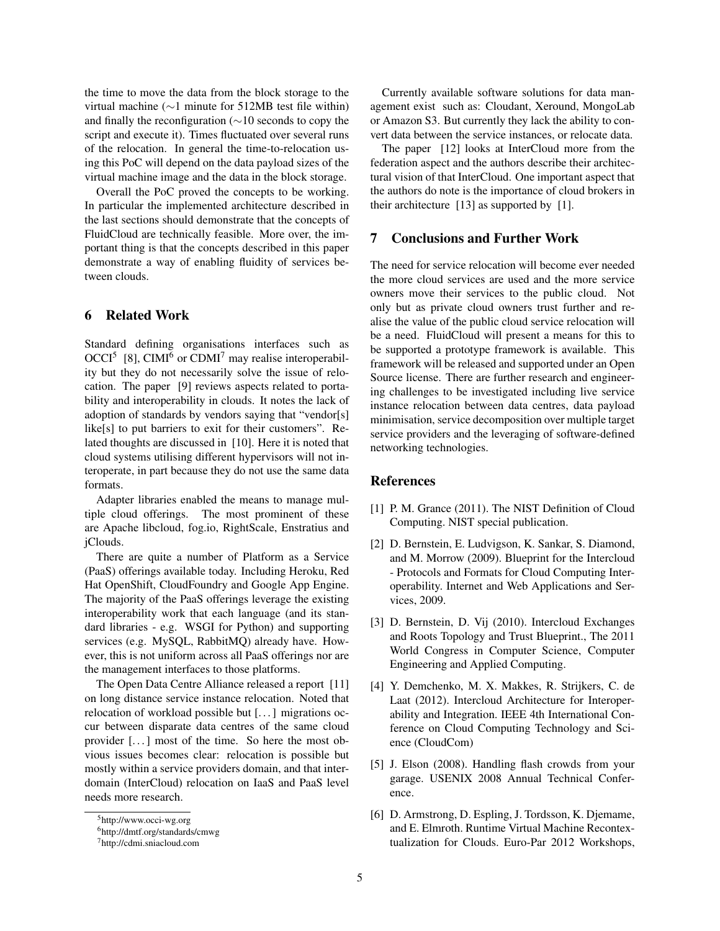the time to move the data from the block storage to the virtual machine (∼1 minute for 512MB test file within) and finally the reconfiguration (∼10 seconds to copy the script and execute it). Times fluctuated over several runs of the relocation. In general the time-to-relocation using this PoC will depend on the data payload sizes of the virtual machine image and the data in the block storage.

Overall the PoC proved the concepts to be working. In particular the implemented architecture described in the last sections should demonstrate that the concepts of FluidCloud are technically feasible. More over, the important thing is that the concepts described in this paper demonstrate a way of enabling fluidity of services between clouds.

#### 6 Related Work

Standard defining organisations interfaces such as  $OCCI<sup>5</sup>$  [8], CIMI<sup>6</sup> or CDMI<sup>7</sup> may realise interoperability but they do not necessarily solve the issue of relocation. The paper [9] reviews aspects related to portability and interoperability in clouds. It notes the lack of adoption of standards by vendors saying that "vendor[s] like[s] to put barriers to exit for their customers". Related thoughts are discussed in [10]. Here it is noted that cloud systems utilising different hypervisors will not interoperate, in part because they do not use the same data formats.

Adapter libraries enabled the means to manage multiple cloud offerings. The most prominent of these are Apache libcloud, fog.io, RightScale, Enstratius and jClouds.

There are quite a number of Platform as a Service (PaaS) offerings available today. Including Heroku, Red Hat OpenShift, CloudFoundry and Google App Engine. The majority of the PaaS offerings leverage the existing interoperability work that each language (and its standard libraries - e.g. WSGI for Python) and supporting services (e.g. MySQL, RabbitMQ) already have. However, this is not uniform across all PaaS offerings nor are the management interfaces to those platforms.

The Open Data Centre Alliance released a report [11] on long distance service instance relocation. Noted that relocation of workload possible but [. . . ] migrations occur between disparate data centres of the same cloud provider [. . . ] most of the time. So here the most obvious issues becomes clear: relocation is possible but mostly within a service providers domain, and that interdomain (InterCloud) relocation on IaaS and PaaS level needs more research.

Currently available software solutions for data management exist such as: Cloudant, Xeround, MongoLab or Amazon S3. But currently they lack the ability to convert data between the service instances, or relocate data.

The paper [12] looks at InterCloud more from the federation aspect and the authors describe their architectural vision of that InterCloud. One important aspect that the authors do note is the importance of cloud brokers in their architecture [13] as supported by [1].

# 7 Conclusions and Further Work

The need for service relocation will become ever needed the more cloud services are used and the more service owners move their services to the public cloud. Not only but as private cloud owners trust further and realise the value of the public cloud service relocation will be a need. FluidCloud will present a means for this to be supported a prototype framework is available. This framework will be released and supported under an Open Source license. There are further research and engineering challenges to be investigated including live service instance relocation between data centres, data payload minimisation, service decomposition over multiple target service providers and the leveraging of software-defined networking technologies.

#### References

- [1] P. M. Grance (2011). The NIST Definition of Cloud Computing. NIST special publication.
- [2] D. Bernstein, E. Ludvigson, K. Sankar, S. Diamond, and M. Morrow (2009). Blueprint for the Intercloud - Protocols and Formats for Cloud Computing Interoperability. Internet and Web Applications and Services, 2009.
- [3] D. Bernstein, D. Vij (2010). Intercloud Exchanges and Roots Topology and Trust Blueprint., The 2011 World Congress in Computer Science, Computer Engineering and Applied Computing.
- [4] Y. Demchenko, M. X. Makkes, R. Strijkers, C. de Laat (2012). Intercloud Architecture for Interoperability and Integration. IEEE 4th International Conference on Cloud Computing Technology and Science (CloudCom)
- [5] J. Elson (2008). Handling flash crowds from your garage. USENIX 2008 Annual Technical Conference.
- [6] D. Armstrong, D. Espling, J. Tordsson, K. Djemame, and E. Elmroth. Runtime Virtual Machine Recontextualization for Clouds. Euro-Par 2012 Workshops,

<sup>5</sup>http://www.occi-wg.org

<sup>6</sup>http://dmtf.org/standards/cmwg

<sup>7</sup>http://cdmi.sniacloud.com